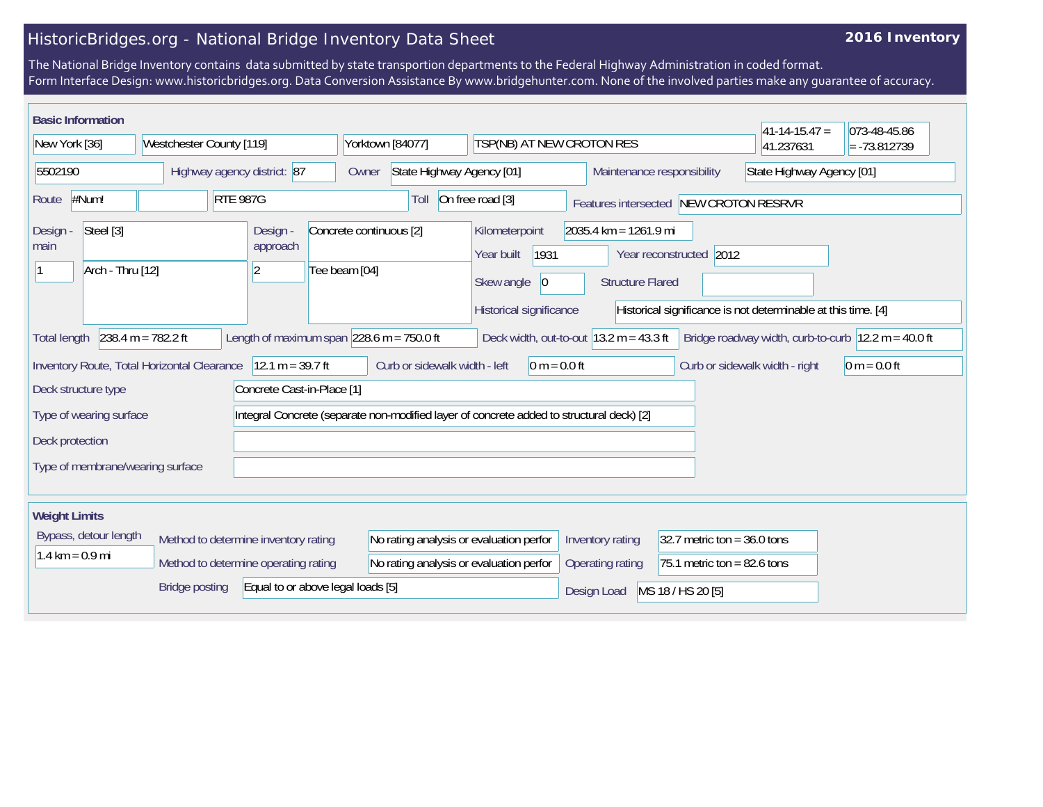## HistoricBridges.org - National Bridge Inventory Data Sheet

## **2016 Inventory**

The National Bridge Inventory contains data submitted by state transportion departments to the Federal Highway Administration in coded format. Form Interface Design: www.historicbridges.org. Data Conversion Assistance By www.bridgehunter.com. None of the involved parties make any guarantee of accuracy.

| <b>Basic Information</b>                          |                                                                                       |                                                                                          |                                                                                        |                                                                                                                                              |                               | $ 41-14-15.47 $                                                         | 073-48-45.86   |  |
|---------------------------------------------------|---------------------------------------------------------------------------------------|------------------------------------------------------------------------------------------|----------------------------------------------------------------------------------------|----------------------------------------------------------------------------------------------------------------------------------------------|-------------------------------|-------------------------------------------------------------------------|----------------|--|
| New York [36]                                     | Westchester County [119]                                                              | Yorktown [84077]                                                                         | TSP(NB) AT NEW CROTON RES                                                              |                                                                                                                                              |                               | 41.237631                                                               | $= -73.812739$ |  |
| Highway agency district: 87<br>5502190            |                                                                                       | State Highway Agency [01]<br>Owner                                                       |                                                                                        | Maintenance responsibility                                                                                                                   |                               | State Highway Agency [01]                                               |                |  |
| #Num!<br>Route                                    | <b>RTE 987G</b>                                                                       | Toll                                                                                     | On free road [3]<br>Features intersected NEW CROTON RESRVR                             |                                                                                                                                              |                               |                                                                         |                |  |
| Steel [3]<br>Design -<br>main<br>Arch - Thru [12] | Design -<br>approach<br> 2                                                            | Concrete continuous [2]<br>Tee beam [04]                                                 | Kilometerpoint<br>1931<br>Year built<br> 0 <br>Skew angle                              | 2035.4 km = 1261.9 mi<br>Year reconstructed 2012<br><b>Structure Flared</b><br>Historical significance is not determinable at this time. [4] |                               |                                                                         |                |  |
| <b>Total length</b>                               | Length of maximum span $ 228.6 \text{ m} = 750.0 \text{ ft} $<br>$238.4 m = 782.2 ft$ |                                                                                          | Historical significance<br>Deck width, out-to-out $ 13.2 \text{ m} = 43.3 \text{ ft} $ |                                                                                                                                              |                               | Bridge roadway width, curb-to-curb $ 12.2 \text{ m} = 40.0 \text{ ft} $ |                |  |
|                                                   | Inventory Route, Total Horizontal Clearance   12.1 m = 39.7 ft                        | Curb or sidewalk width - left                                                            | $0 m = 0.0 ft$                                                                         |                                                                                                                                              |                               | Curb or sidewalk width - right                                          | $0 m = 0.0 ft$ |  |
| Concrete Cast-in-Place [1]<br>Deck structure type |                                                                                       |                                                                                          |                                                                                        |                                                                                                                                              |                               |                                                                         |                |  |
| Type of wearing surface                           |                                                                                       | Integral Concrete (separate non-modified layer of concrete added to structural deck) [2] |                                                                                        |                                                                                                                                              |                               |                                                                         |                |  |
| Deck protection                                   |                                                                                       |                                                                                          |                                                                                        |                                                                                                                                              |                               |                                                                         |                |  |
| Type of membrane/wearing surface                  |                                                                                       |                                                                                          |                                                                                        |                                                                                                                                              |                               |                                                                         |                |  |
| <b>Weight Limits</b>                              |                                                                                       |                                                                                          |                                                                                        |                                                                                                                                              |                               |                                                                         |                |  |
| Bypass, detour length                             | Method to determine inventory rating                                                  | No rating analysis or evaluation perfor                                                  |                                                                                        | Inventory rating                                                                                                                             | 32.7 metric ton = $36.0$ tons |                                                                         |                |  |
| $1.4 \text{ km} = 0.9 \text{ mi}$                 | Method to determine operating rating                                                  | No rating analysis or evaluation perfor                                                  |                                                                                        | Operating rating                                                                                                                             | 75.1 metric ton = $82.6$ tons |                                                                         |                |  |
|                                                   | Equal to or above legal loads [5]<br><b>Bridge posting</b>                            |                                                                                          |                                                                                        | Design Load                                                                                                                                  | MS 18 / HS 20 [5]             |                                                                         |                |  |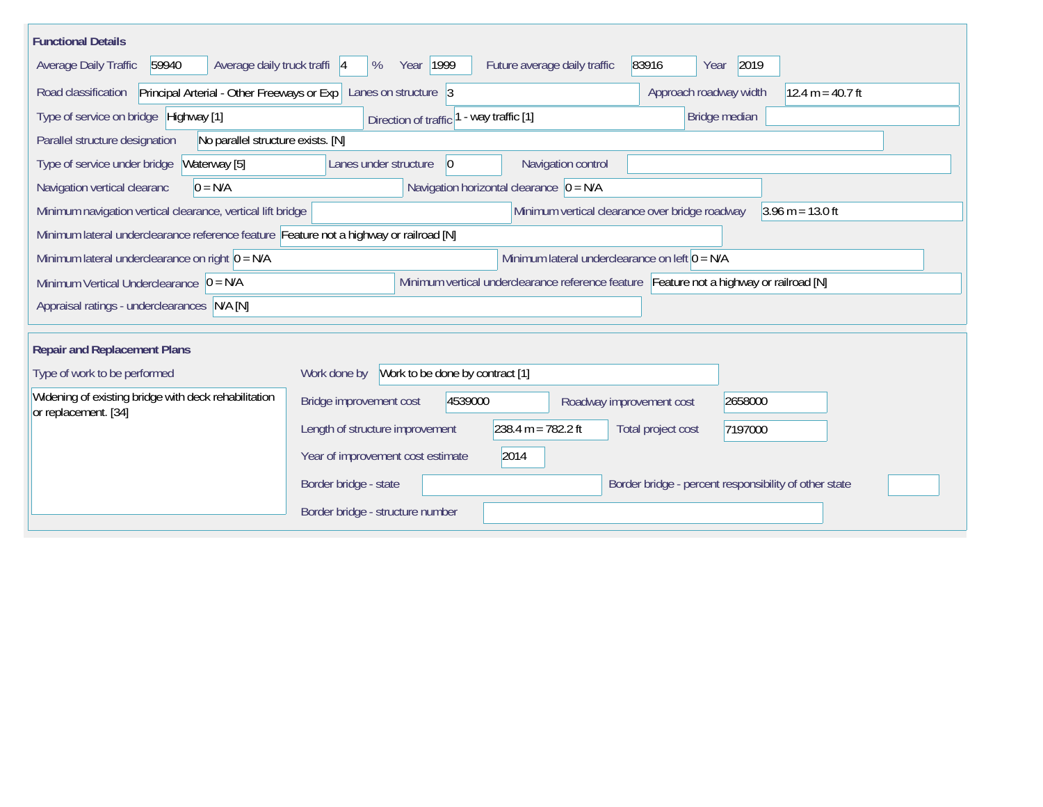| <b>Functional Details</b>                                                                                                             |                                                         |                                                       |                               |  |  |  |  |  |
|---------------------------------------------------------------------------------------------------------------------------------------|---------------------------------------------------------|-------------------------------------------------------|-------------------------------|--|--|--|--|--|
| Average daily truck traffi  4<br>Average Daily Traffic<br>59940                                                                       | Year 1999<br>Future average daily traffic<br>%          | 83916                                                 | 2019<br>Year                  |  |  |  |  |  |
| Road classification<br>Principal Arterial - Other Freeways or Exp                                                                     |                                                         | $12.4 m = 40.7 ft$<br>Approach roadway width          |                               |  |  |  |  |  |
| Type of service on bridge Highway [1]                                                                                                 | - way traffic [1]<br>Direction of traffic               |                                                       | Bridge median                 |  |  |  |  |  |
| Parallel structure designation<br>No parallel structure exists. [N]                                                                   |                                                         |                                                       |                               |  |  |  |  |  |
| Type of service under bridge<br>Waterway [5]                                                                                          | $ 0\rangle$<br>Lanes under structure                    | Navigation control                                    |                               |  |  |  |  |  |
| Navigation horizontal clearance $\overline{0} = N/A$<br>$0 = N/A$<br>Navigation vertical clearanc                                     |                                                         |                                                       |                               |  |  |  |  |  |
| Minimum navigation vertical clearance, vertical lift bridge                                                                           | Minimum vertical clearance over bridge roadway          | $3.96 \text{ m} = 13.0 \text{ ft}$                    |                               |  |  |  |  |  |
| Minimum lateral underclearance reference feature Feature not a highway or railroad [N]                                                |                                                         |                                                       |                               |  |  |  |  |  |
| Minimum lateral underclearance on left $0 = N/A$<br>Minimum lateral underclearance on right $0 = N/A$                                 |                                                         |                                                       |                               |  |  |  |  |  |
| Minimum vertical underclearance reference feature Feature not a highway or railroad [N]<br>Minimum Vertical Underclearance $ 0 = N/A$ |                                                         |                                                       |                               |  |  |  |  |  |
| Appraisal ratings - underclearances N/A [N]                                                                                           |                                                         |                                                       |                               |  |  |  |  |  |
|                                                                                                                                       |                                                         |                                                       |                               |  |  |  |  |  |
| <b>Repair and Replacement Plans</b>                                                                                                   |                                                         |                                                       |                               |  |  |  |  |  |
| Type of work to be performed                                                                                                          | Work to be done by contract [1]<br>Work done by         |                                                       |                               |  |  |  |  |  |
| Widening of existing bridge with deck rehabilitation<br>or replacement. [34]                                                          | Bridge improvement cost<br>4539000                      | Roadway improvement cost                              | 2658000                       |  |  |  |  |  |
|                                                                                                                                       | $238.4 m = 782.2 ft$<br>Length of structure improvement |                                                       | Total project cost<br>7197000 |  |  |  |  |  |
|                                                                                                                                       | 2014<br>Year of improvement cost estimate               |                                                       |                               |  |  |  |  |  |
|                                                                                                                                       | Border bridge - state                                   | Border bridge - percent responsibility of other state |                               |  |  |  |  |  |
|                                                                                                                                       | Border bridge - structure number                        |                                                       |                               |  |  |  |  |  |